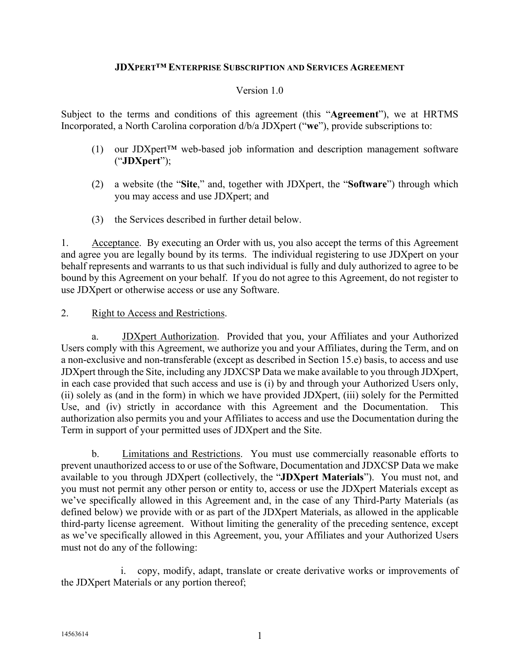### **JDXPERT™ ENTERPRISE SUBSCRIPTION AND SERVICES AGREEMENT**

#### Version 1.0

Subject to the terms and conditions of this agreement (this "**Agreement**"), we at HRTMS Incorporated, a North Carolina corporation d/b/a JDXpert ("**we**"), provide subscriptions to:

- (1) our JDXpert™ web-based job information and description management software ("**JDXpert**");
- (2) a website (the "**Site**," and, together with JDXpert, the "**Software**") through which you may access and use JDXpert; and
- (3) the Services described in further detail below.

<span id="page-0-2"></span>1. Acceptance. By executing an Order with us, you also accept the terms of this Agreement and agree you are legally bound by its terms. The individual registering to use JDXpert on your behalf represents and warrants to us that such individual is fully and duly authorized to agree to be bound by this Agreement on your behalf. If you do not agree to this Agreement, do not register to use JDXpert or otherwise access or use any Software.

#### <span id="page-0-1"></span>2. Right to Access and Restrictions.

a. JDXpert Authorization. Provided that you, your Affiliates and your Authorized Users comply with this Agreement, we authorize you and your Affiliates, during the Term, and on a non-exclusive and non-transferable (except as described in Section [15.e\)](#page-15-0) basis, to access and use JDXpert through the Site, including any JDXCSP Data we make available to you through JDXpert, in each case provided that such access and use is (i) by and through your Authorized Users only, (ii) solely as (and in the form) in which we have provided JDXpert, (iii) solely for the Permitted Use, and (iv) strictly in accordance with this Agreement and the Documentation. This authorization also permits you and your Affiliates to access and use the Documentation during the Term in support of your permitted uses of JDXpert and the Site.

<span id="page-0-0"></span>b. Limitations and Restrictions. You must use commercially reasonable efforts to prevent unauthorized access to or use of the Software, Documentation and JDXCSP Data we make available to you through JDXpert (collectively, the "**JDXpert Materials**"). You must not, and you must not permit any other person or entity to, access or use the JDXpert Materials except as we've specifically allowed in this Agreement and, in the case of any Third-Party Materials (as defined below) we provide with or as part of the JDXpert Materials, as allowed in the applicable third-party license agreement. Without limiting the generality of the preceding sentence, except as we've specifically allowed in this Agreement, you, your Affiliates and your Authorized Users must not do any of the following:

i. copy, modify, adapt, translate or create derivative works or improvements of the JDXpert Materials or any portion thereof;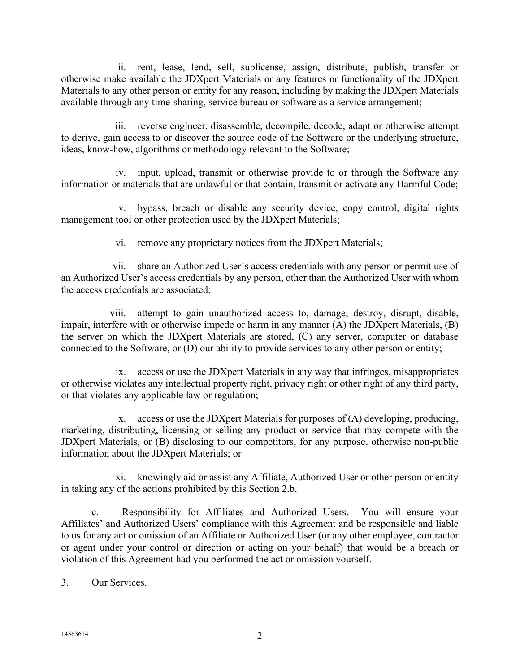ii. rent, lease, lend, sell, sublicense, assign, distribute, publish, transfer or otherwise make available the JDXpert Materials or any features or functionality of the JDXpert Materials to any other person or entity for any reason, including by making the JDXpert Materials available through any time-sharing, service bureau or software as a service arrangement;

iii. reverse engineer, disassemble, decompile, decode, adapt or otherwise attempt to derive, gain access to or discover the source code of the Software or the underlying structure, ideas, know-how, algorithms or methodology relevant to the Software;

iv. input, upload, transmit or otherwise provide to or through the Software any information or materials that are unlawful or that contain, transmit or activate any Harmful Code;

v. bypass, breach or disable any security device, copy control, digital rights management tool or other protection used by the JDXpert Materials;

vi. remove any proprietary notices from the JDXpert Materials;

vii. share an Authorized User's access credentials with any person or permit use of an Authorized User's access credentials by any person, other than the Authorized User with whom the access credentials are associated;

viii. attempt to gain unauthorized access to, damage, destroy, disrupt, disable, impair, interfere with or otherwise impede or harm in any manner (A) the JDXpert Materials, (B) the server on which the JDXpert Materials are stored, (C) any server, computer or database connected to the Software, or (D) our ability to provide services to any other person or entity;

ix. access or use the JDXpert Materials in any way that infringes, misappropriates or otherwise violates any intellectual property right, privacy right or other right of any third party, or that violates any applicable law or regulation;

x. access or use the JDXpert Materials for purposes of (A) developing, producing, marketing, distributing, licensing or selling any product or service that may compete with the JDXpert Materials, or (B) disclosing to our competitors, for any purpose, otherwise non-public information about the JDXpert Materials; or

xi. knowingly aid or assist any Affiliate, Authorized User or other person or entity in taking any of the actions prohibited by this Section [2.b.](#page-0-0)

c. Responsibility for Affiliates and Authorized Users. You will ensure your Affiliates' and Authorized Users' compliance with this Agreement and be responsible and liable to us for any act or omission of an Affiliate or Authorized User (or any other employee, contractor or agent under your control or direction or acting on your behalf) that would be a breach or violation of this Agreement had you performed the act or omission yourself.

3. Our Services.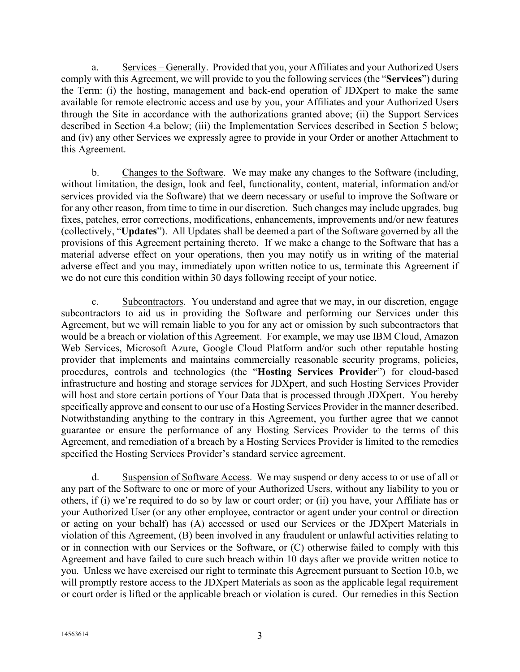a. Services – Generally. Provided that you, your Affiliates and your Authorized Users comply with this Agreement, we will provide to you the following services (the "**Services**") during the Term: (i) the hosting, management and back-end operation of JDXpert to make the same available for remote electronic access and use by you, your Affiliates and your Authorized Users through the Site in accordance with the authorizations granted above; (ii) the Support Services described in Section [4.a](#page-3-0) below; (iii) the Implementation Services described in Section [5](#page-5-0) below; and (iv) any other Services we expressly agree to provide in your Order or another Attachment to this Agreement.

b. Changes to the Software. We may make any changes to the Software (including, without limitation, the design, look and feel, functionality, content, material, information and/or services provided via the Software) that we deem necessary or useful to improve the Software or for any other reason, from time to time in our discretion. Such changes may include upgrades, bug fixes, patches, error corrections, modifications, enhancements, improvements and/or new features (collectively, "**Updates**"). All Updates shall be deemed a part of the Software governed by all the provisions of this Agreement pertaining thereto. If we make a change to the Software that has a material adverse effect on your operations, then you may notify us in writing of the material adverse effect and you may, immediately upon written notice to us, terminate this Agreement if we do not cure this condition within 30 days following receipt of your notice.

<span id="page-2-0"></span>c. Subcontractors. You understand and agree that we may, in our discretion, engage subcontractors to aid us in providing the Software and performing our Services under this Agreement, but we will remain liable to you for any act or omission by such subcontractors that would be a breach or violation of this Agreement. For example, we may use IBM Cloud, Amazon Web Services, Microsoft Azure, Google Cloud Platform and/or such other reputable hosting provider that implements and maintains commercially reasonable security programs, policies, procedures, controls and technologies (the "**Hosting Services Provider**") for cloud-based infrastructure and hosting and storage services for JDXpert, and such Hosting Services Provider will host and store certain portions of Your Data that is processed through JDXpert. You hereby specifically approve and consent to our use of a Hosting Services Provider in the manner described. Notwithstanding anything to the contrary in this Agreement, you further agree that we cannot guarantee or ensure the performance of any Hosting Services Provider to the terms of this Agreement, and remediation of a breach by a Hosting Services Provider is limited to the remedies specified the Hosting Services Provider's standard service agreement.

d. Suspension of Software Access. We may suspend or deny access to or use of all or any part of the Software to one or more of your Authorized Users, without any liability to you or others, if (i) we're required to do so by law or court order; or (ii) you have, your Affiliate has or your Authorized User (or any other employee, contractor or agent under your control or direction or acting on your behalf) has (A) accessed or used our Services or the JDXpert Materials in violation of this Agreement, (B) been involved in any fraudulent or unlawful activities relating to or in connection with our Services or the Software, or (C) otherwise failed to comply with this Agreement and have failed to cure such breach within 10 days after we provide written notice to you. Unless we have exercised our right to terminate this Agreement pursuant to Section [10.b,](#page-11-0) we will promptly restore access to the JDXpert Materials as soon as the applicable legal requirement or court order is lifted or the applicable breach or violation is cured. Our remedies in this Section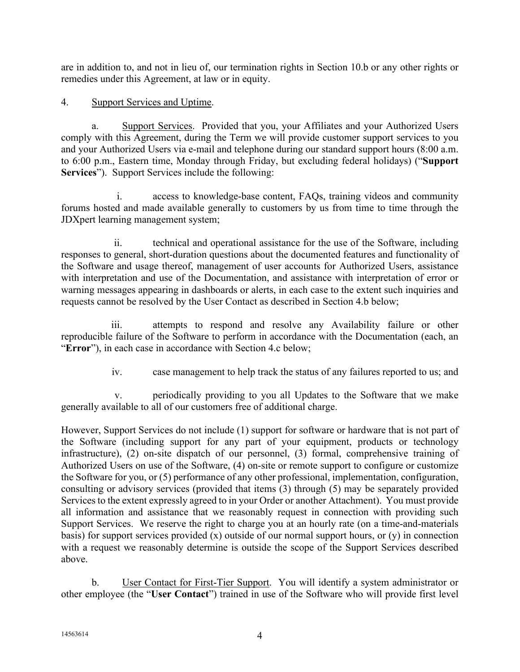are in addition to, and not in lieu of, our termination rights in Section [10.b](#page-11-0) or any other rights or remedies under this Agreement, at law or in equity.

### <span id="page-3-2"></span>4. Support Services and Uptime.

<span id="page-3-0"></span>a. Support Services. Provided that you, your Affiliates and your Authorized Users comply with this Agreement, during the Term we will provide customer support services to you and your Authorized Users via e-mail and telephone during our standard support hours (8:00 a.m. to 6:00 p.m., Eastern time, Monday through Friday, but excluding federal holidays) ("**Support Services**"). Support Services include the following:

i. access to knowledge-base content, FAQs, training videos and community forums hosted and made available generally to customers by us from time to time through the JDXpert learning management system;

ii. technical and operational assistance for the use of the Software, including responses to general, short-duration questions about the documented features and functionality of the Software and usage thereof, management of user accounts for Authorized Users, assistance with interpretation and use of the Documentation, and assistance with interpretation of error or warning messages appearing in dashboards or alerts, in each case to the extent such inquiries and requests cannot be resolved by the User Contact as described in Section [4.b](#page-3-1) below;

iii. attempts to respond and resolve any Availability failure or other reproducible failure of the Software to perform in accordance with the Documentation (each, an "**Error**"), in each case in accordance with Section [4.c](#page-4-0) below;

iv. case management to help track the status of any failures reported to us; and

v. periodically providing to you all Updates to the Software that we make generally available to all of our customers free of additional charge.

However, Support Services do not include (1) support for software or hardware that is not part of the Software (including support for any part of your equipment, products or technology infrastructure), (2) on-site dispatch of our personnel, (3) formal, comprehensive training of Authorized Users on use of the Software, (4) on-site or remote support to configure or customize the Software for you, or (5) performance of any other professional, implementation, configuration, consulting or advisory services (provided that items (3) through (5) may be separately provided Services to the extent expressly agreed to in your Order or another Attachment). You must provide all information and assistance that we reasonably request in connection with providing such Support Services. We reserve the right to charge you at an hourly rate (on a time-and-materials basis) for support services provided  $(x)$  outside of our normal support hours, or  $(y)$  in connection with a request we reasonably determine is outside the scope of the Support Services described above.

<span id="page-3-1"></span>b. User Contact for First-Tier Support. You will identify a system administrator or other employee (the "**User Contact**") trained in use of the Software who will provide first level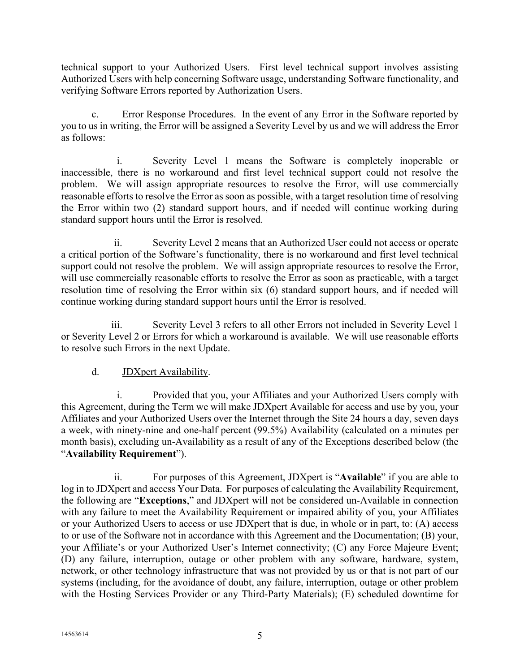technical support to your Authorized Users. First level technical support involves assisting Authorized Users with help concerning Software usage, understanding Software functionality, and verifying Software Errors reported by Authorization Users.

<span id="page-4-0"></span>c. Error Response Procedures. In the event of any Error in the Software reported by you to us in writing, the Error will be assigned a Severity Level by us and we will address the Error as follows:

i. Severity Level 1 means the Software is completely inoperable or inaccessible, there is no workaround and first level technical support could not resolve the problem. We will assign appropriate resources to resolve the Error, will use commercially reasonable efforts to resolve the Error as soon as possible, with a target resolution time of resolving the Error within two (2) standard support hours, and if needed will continue working during standard support hours until the Error is resolved.

ii. Severity Level 2 means that an Authorized User could not access or operate a critical portion of the Software's functionality, there is no workaround and first level technical support could not resolve the problem. We will assign appropriate resources to resolve the Error, will use commercially reasonable efforts to resolve the Error as soon as practicable, with a target resolution time of resolving the Error within six (6) standard support hours, and if needed will continue working during standard support hours until the Error is resolved.

iii. Severity Level 3 refers to all other Errors not included in Severity Level 1 or Severity Level 2 or Errors for which a workaround is available. We will use reasonable efforts to resolve such Errors in the next Update.

# d. JDXpert Availability.

<span id="page-4-1"></span>i. Provided that you, your Affiliates and your Authorized Users comply with this Agreement, during the Term we will make JDXpert Available for access and use by you, your Affiliates and your Authorized Users over the Internet through the Site 24 hours a day, seven days a week, with ninety-nine and one-half percent (99.5%) Availability (calculated on a minutes per month basis), excluding un-Availability as a result of any of the Exceptions described below (the "**Availability Requirement**").

ii. For purposes of this Agreement, JDXpert is "**Available**" if you are able to log in to JDXpert and access Your Data. For purposes of calculating the Availability Requirement, the following are "**Exceptions**," and JDXpert will not be considered un-Available in connection with any failure to meet the Availability Requirement or impaired ability of you, your Affiliates or your Authorized Users to access or use JDXpert that is due, in whole or in part, to: (A) access to or use of the Software not in accordance with this Agreement and the Documentation; (B) your, your Affiliate's or your Authorized User's Internet connectivity; (C) any Force Majeure Event; (D) any failure, interruption, outage or other problem with any software, hardware, system, network, or other technology infrastructure that was not provided by us or that is not part of our systems (including, for the avoidance of doubt, any failure, interruption, outage or other problem with the Hosting Services Provider or any Third-Party Materials); (E) scheduled downtime for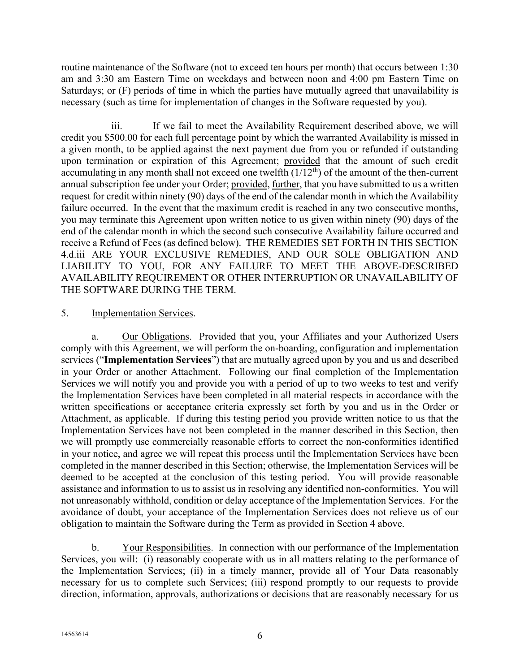routine maintenance of the Software (not to exceed ten hours per month) that occurs between 1:30 am and 3:30 am Eastern Time on weekdays and between noon and 4:00 pm Eastern Time on Saturdays; or (F) periods of time in which the parties have mutually agreed that unavailability is necessary (such as time for implementation of changes in the Software requested by you).

iii. If we fail to meet the Availability Requirement described above, we will credit you \$500.00 for each full percentage point by which the warranted Availability is missed in a given month, to be applied against the next payment due from you or refunded if outstanding upon termination or expiration of this Agreement; provided that the amount of such credit accumulating in any month shall not exceed one twelfth  $(1/12<sup>th</sup>)$  of the amount of the then-current annual subscription fee under your Order; provided, further, that you have submitted to us a written request for credit within ninety (90) days of the end of the calendar month in which the Availability failure occurred. In the event that the maximum credit is reached in any two consecutive months, you may terminate this Agreement upon written notice to us given within ninety (90) days of the end of the calendar month in which the second such consecutive Availability failure occurred and receive a Refund of Fees (as defined below). THE REMEDIES SET FORTH IN THIS SECTION [4.d.](#page-4-1)iii ARE YOUR EXCLUSIVE REMEDIES, AND OUR SOLE OBLIGATION AND LIABILITY TO YOU, FOR ANY FAILURE TO MEET THE ABOVE-DESCRIBED AVAILABILITY REQUIREMENT OR OTHER INTERRUPTION OR UNAVAILABILITY OF THE SOFTWARE DURING THE TERM.

### <span id="page-5-0"></span>5. Implementation Services.

a. Our Obligations. Provided that you, your Affiliates and your Authorized Users comply with this Agreement, we will perform the on-boarding, configuration and implementation services ("**Implementation Services**") that are mutually agreed upon by you and us and described in your Order or another Attachment. Following our final completion of the Implementation Services we will notify you and provide you with a period of up to two weeks to test and verify the Implementation Services have been completed in all material respects in accordance with the written specifications or acceptance criteria expressly set forth by you and us in the Order or Attachment, as applicable. If during this testing period you provide written notice to us that the Implementation Services have not been completed in the manner described in this Section, then we will promptly use commercially reasonable efforts to correct the non-conformities identified in your notice, and agree we will repeat this process until the Implementation Services have been completed in the manner described in this Section; otherwise, the Implementation Services will be deemed to be accepted at the conclusion of this testing period. You will provide reasonable assistance and information to us to assist us in resolving any identified non-conformities. You will not unreasonably withhold, condition or delay acceptance of the Implementation Services. For the avoidance of doubt, your acceptance of the Implementation Services does not relieve us of our obligation to maintain the Software during the Term as provided in Section [4](#page-3-2) above.

b. Your Responsibilities. In connection with our performance of the Implementation Services, you will: (i) reasonably cooperate with us in all matters relating to the performance of the Implementation Services; (ii) in a timely manner, provide all of Your Data reasonably necessary for us to complete such Services; (iii) respond promptly to our requests to provide direction, information, approvals, authorizations or decisions that are reasonably necessary for us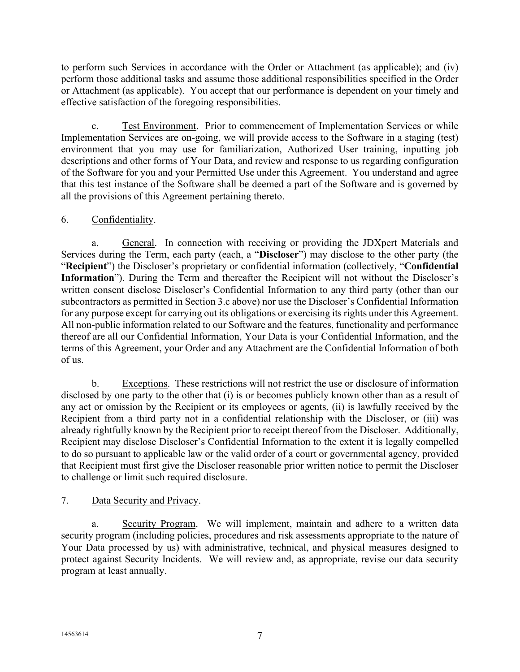to perform such Services in accordance with the Order or Attachment (as applicable); and (iv) perform those additional tasks and assume those additional responsibilities specified in the Order or Attachment (as applicable). You accept that our performance is dependent on your timely and effective satisfaction of the foregoing responsibilities.

c. Test Environment. Prior to commencement of Implementation Services or while Implementation Services are on-going, we will provide access to the Software in a staging (test) environment that you may use for familiarization, Authorized User training, inputting job descriptions and other forms of Your Data, and review and response to us regarding configuration of the Software for you and your Permitted Use under this Agreement. You understand and agree that this test instance of the Software shall be deemed a part of the Software and is governed by all the provisions of this Agreement pertaining thereto.

## <span id="page-6-0"></span>6. Confidentiality.

a. General. In connection with receiving or providing the JDXpert Materials and Services during the Term, each party (each, a "**Discloser**") may disclose to the other party (the "**Recipient**") the Discloser's proprietary or confidential information (collectively, "**Confidential Information**"). During the Term and thereafter the Recipient will not without the Discloser's written consent disclose Discloser's Confidential Information to any third party (other than our subcontractors as permitted in Section [3.c](#page-2-0) above) nor use the Discloser's Confidential Information for any purpose except for carrying out its obligations or exercising its rights under this Agreement. All non-public information related to our Software and the features, functionality and performance thereof are all our Confidential Information, Your Data is your Confidential Information, and the terms of this Agreement, your Order and any Attachment are the Confidential Information of both of us.

b. Exceptions. These restrictions will not restrict the use or disclosure of information disclosed by one party to the other that (i) is or becomes publicly known other than as a result of any act or omission by the Recipient or its employees or agents, (ii) is lawfully received by the Recipient from a third party not in a confidential relationship with the Discloser, or (iii) was already rightfully known by the Recipient prior to receipt thereof from the Discloser. Additionally, Recipient may disclose Discloser's Confidential Information to the extent it is legally compelled to do so pursuant to applicable law or the valid order of a court or governmental agency, provided that Recipient must first give the Discloser reasonable prior written notice to permit the Discloser to challenge or limit such required disclosure.

### <span id="page-6-1"></span>7. Data Security and Privacy.

a. Security Program. We will implement, maintain and adhere to a written data security program (including policies, procedures and risk assessments appropriate to the nature of Your Data processed by us) with administrative, technical, and physical measures designed to protect against Security Incidents. We will review and, as appropriate, revise our data security program at least annually.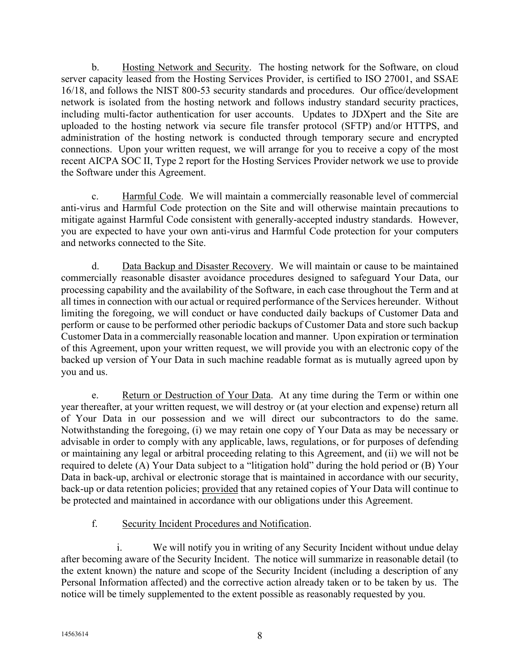b. Hosting Network and Security. The hosting network for the Software, on cloud server capacity leased from the Hosting Services Provider, is certified to ISO 27001, and SSAE 16/18, and follows the NIST 800-53 security standards and procedures. Our office/development network is isolated from the hosting network and follows industry standard security practices, including multi-factor authentication for user accounts. Updates to JDXpert and the Site are uploaded to the hosting network via secure file transfer protocol (SFTP) and/or HTTPS, and administration of the hosting network is conducted through temporary secure and encrypted connections. Upon your written request, we will arrange for you to receive a copy of the most recent AICPA SOC II, Type 2 report for the Hosting Services Provider network we use to provide the Software under this Agreement.

c. Harmful Code. We will maintain a commercially reasonable level of commercial anti-virus and Harmful Code protection on the Site and will otherwise maintain precautions to mitigate against Harmful Code consistent with generally-accepted industry standards. However, you are expected to have your own anti-virus and Harmful Code protection for your computers and networks connected to the Site.

d. Data Backup and Disaster Recovery. We will maintain or cause to be maintained commercially reasonable disaster avoidance procedures designed to safeguard Your Data, our processing capability and the availability of the Software, in each case throughout the Term and at all times in connection with our actual or required performance of the Services hereunder. Without limiting the foregoing, we will conduct or have conducted daily backups of Customer Data and perform or cause to be performed other periodic backups of Customer Data and store such backup Customer Data in a commercially reasonable location and manner. Upon expiration or termination of this Agreement, upon your written request, we will provide you with an electronic copy of the backed up version of Your Data in such machine readable format as is mutually agreed upon by you and us.

e. Return or Destruction of Your Data. At any time during the Term or within one year thereafter, at your written request, we will destroy or (at your election and expense) return all of Your Data in our possession and we will direct our subcontractors to do the same. Notwithstanding the foregoing, (i) we may retain one copy of Your Data as may be necessary or advisable in order to comply with any applicable, laws, regulations, or for purposes of defending or maintaining any legal or arbitral proceeding relating to this Agreement, and (ii) we will not be required to delete (A) Your Data subject to a "litigation hold" during the hold period or (B) Your Data in back-up, archival or electronic storage that is maintained in accordance with our security, back-up or data retention policies; provided that any retained copies of Your Data will continue to be protected and maintained in accordance with our obligations under this Agreement.

### f. Security Incident Procedures and Notification.

i. We will notify you in writing of any Security Incident without undue delay after becoming aware of the Security Incident. The notice will summarize in reasonable detail (to the extent known) the nature and scope of the Security Incident (including a description of any Personal Information affected) and the corrective action already taken or to be taken by us. The notice will be timely supplemented to the extent possible as reasonably requested by you.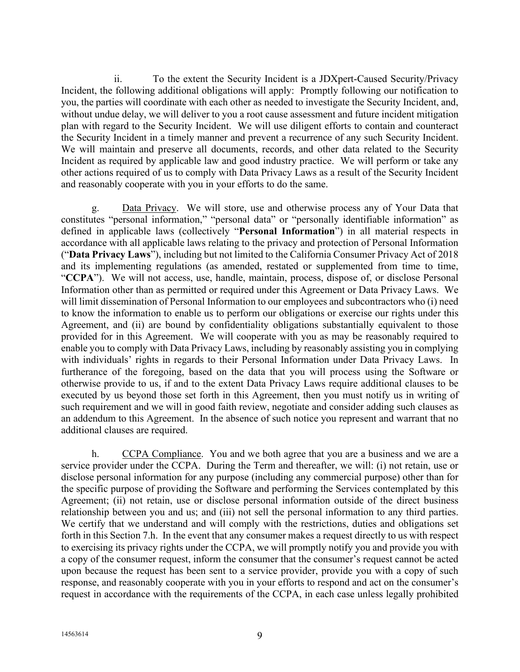ii. To the extent the Security Incident is a JDXpert-Caused Security/Privacy Incident, the following additional obligations will apply: Promptly following our notification to you, the parties will coordinate with each other as needed to investigate the Security Incident, and, without undue delay, we will deliver to you a root cause assessment and future incident mitigation plan with regard to the Security Incident. We will use diligent efforts to contain and counteract the Security Incident in a timely manner and prevent a recurrence of any such Security Incident. We will maintain and preserve all documents, records, and other data related to the Security Incident as required by applicable law and good industry practice. We will perform or take any other actions required of us to comply with Data Privacy Laws as a result of the Security Incident and reasonably cooperate with you in your efforts to do the same.

g. Data Privacy. We will store, use and otherwise process any of Your Data that constitutes "personal information," "personal data" or "personally identifiable information" as defined in applicable laws (collectively "**Personal Information**") in all material respects in accordance with all applicable laws relating to the privacy and protection of Personal Information ("**Data Privacy Laws**"), including but not limited to the California Consumer Privacy Act of 2018 and its implementing regulations (as amended, restated or supplemented from time to time, "**CCPA**"). We will not access, use, handle, maintain, process, dispose of, or disclose Personal Information other than as permitted or required under this Agreement or Data Privacy Laws. We will limit dissemination of Personal Information to our employees and subcontractors who (i) need to know the information to enable us to perform our obligations or exercise our rights under this Agreement, and (ii) are bound by confidentiality obligations substantially equivalent to those provided for in this Agreement. We will cooperate with you as may be reasonably required to enable you to comply with Data Privacy Laws, including by reasonably assisting you in complying with individuals' rights in regards to their Personal Information under Data Privacy Laws. In furtherance of the foregoing, based on the data that you will process using the Software or otherwise provide to us, if and to the extent Data Privacy Laws require additional clauses to be executed by us beyond those set forth in this Agreement, then you must notify us in writing of such requirement and we will in good faith review, negotiate and consider adding such clauses as an addendum to this Agreement. In the absence of such notice you represent and warrant that no additional clauses are required.

<span id="page-8-0"></span>h. CCPA Compliance. You and we both agree that you are a business and we are a service provider under the CCPA. During the Term and thereafter, we will: (i) not retain, use or disclose personal information for any purpose (including any commercial purpose) other than for the specific purpose of providing the Software and performing the Services contemplated by this Agreement; (ii) not retain, use or disclose personal information outside of the direct business relationship between you and us; and (iii) not sell the personal information to any third parties. We certify that we understand and will comply with the restrictions, duties and obligations set forth in this Section [7.h.](#page-8-0) In the event that any consumer makes a request directly to us with respect to exercising its privacy rights under the CCPA, we will promptly notify you and provide you with a copy of the consumer request, inform the consumer that the consumer's request cannot be acted upon because the request has been sent to a service provider, provide you with a copy of such response, and reasonably cooperate with you in your efforts to respond and act on the consumer's request in accordance with the requirements of the CCPA, in each case unless legally prohibited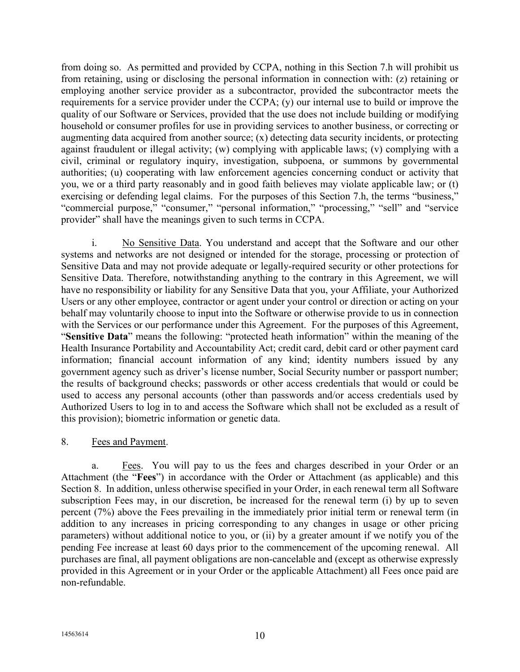from doing so. As permitted and provided by CCPA, nothing in this Section [7.h](#page-8-0) will prohibit us from retaining, using or disclosing the personal information in connection with: (z) retaining or employing another service provider as a subcontractor, provided the subcontractor meets the requirements for a service provider under the CCPA; (y) our internal use to build or improve the quality of our Software or Services, provided that the use does not include building or modifying household or consumer profiles for use in providing services to another business, or correcting or augmenting data acquired from another source; (x) detecting data security incidents, or protecting against fraudulent or illegal activity; (w) complying with applicable laws; (v) complying with a civil, criminal or regulatory inquiry, investigation, subpoena, or summons by governmental authorities; (u) cooperating with law enforcement agencies concerning conduct or activity that you, we or a third party reasonably and in good faith believes may violate applicable law; or (t) exercising or defending legal claims. For the purposes of this Section [7.h,](#page-8-0) the terms "business," "commercial purpose," "consumer," "personal information," "processing," "sell" and "service provider" shall have the meanings given to such terms in CCPA.

i. No Sensitive Data. You understand and accept that the Software and our other systems and networks are not designed or intended for the storage, processing or protection of Sensitive Data and may not provide adequate or legally-required security or other protections for Sensitive Data. Therefore, notwithstanding anything to the contrary in this Agreement, we will have no responsibility or liability for any Sensitive Data that you, your Affiliate, your Authorized Users or any other employee, contractor or agent under your control or direction or acting on your behalf may voluntarily choose to input into the Software or otherwise provide to us in connection with the Services or our performance under this Agreement. For the purposes of this Agreement, "**Sensitive Data**" means the following: "protected heath information" within the meaning of the Health Insurance Portability and Accountability Act; credit card, debit card or other payment card information; financial account information of any kind; identity numbers issued by any government agency such as driver's license number, Social Security number or passport number; the results of background checks; passwords or other access credentials that would or could be used to access any personal accounts (other than passwords and/or access credentials used by Authorized Users to log in to and access the Software which shall not be excluded as a result of this provision); biometric information or genetic data.

### <span id="page-9-0"></span>8. Fees and Payment.

a. Fees. You will pay to us the fees and charges described in your Order or an Attachment (the "**Fees**") in accordance with the Order or Attachment (as applicable) and this Section [8.](#page-9-0) In addition, unless otherwise specified in your Order, in each renewal term all Software subscription Fees may, in our discretion, be increased for the renewal term (i) by up to seven percent (7%) above the Fees prevailing in the immediately prior initial term or renewal term (in addition to any increases in pricing corresponding to any changes in usage or other pricing parameters) without additional notice to you, or (ii) by a greater amount if we notify you of the pending Fee increase at least 60 days prior to the commencement of the upcoming renewal. All purchases are final, all payment obligations are non-cancelable and (except as otherwise expressly provided in this Agreement or in your Order or the applicable Attachment) all Fees once paid are non-refundable.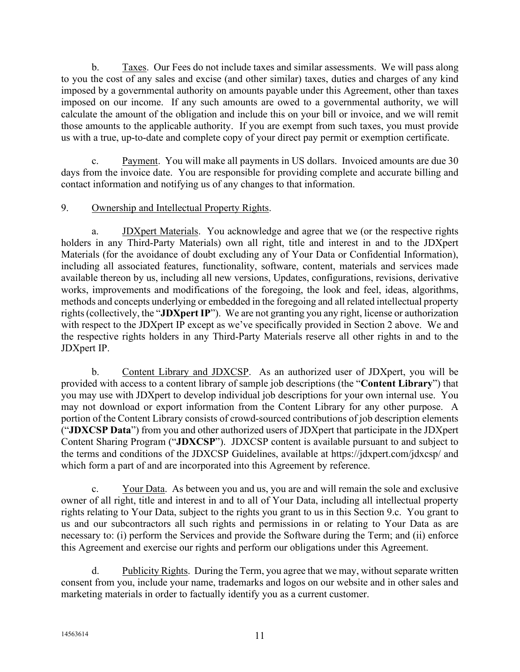b. Taxes. Our Fees do not include taxes and similar assessments. We will pass along to you the cost of any sales and excise (and other similar) taxes, duties and charges of any kind imposed by a governmental authority on amounts payable under this Agreement, other than taxes imposed on our income. If any such amounts are owed to a governmental authority, we will calculate the amount of the obligation and include this on your bill or invoice, and we will remit those amounts to the applicable authority. If you are exempt from such taxes, you must provide us with a true, up-to-date and complete copy of your direct pay permit or exemption certificate.

Payment. You will make all payments in US dollars. Invoiced amounts are due 30 days from the invoice date. You are responsible for providing complete and accurate billing and contact information and notifying us of any changes to that information.

### <span id="page-10-2"></span>9. Ownership and Intellectual Property Rights.

a. JDXpert Materials. You acknowledge and agree that we (or the respective rights holders in any Third-Party Materials) own all right, title and interest in and to the JDXpert Materials (for the avoidance of doubt excluding any of Your Data or Confidential Information), including all associated features, functionality, software, content, materials and services made available thereon by us, including all new versions, Updates, configurations, revisions, derivative works, improvements and modifications of the foregoing, the look and feel, ideas, algorithms, methods and concepts underlying or embedded in the foregoing and all related intellectual property rights (collectively, the "**JDXpertIP**"). We are not granting you any right, license or authorization with respect to the JDXpert IP except as we've specifically provided in Section [2](#page-0-1) above. We and the respective rights holders in any Third-Party Materials reserve all other rights in and to the JDXpert IP.

<span id="page-10-1"></span>b. Content Library and JDXCSP. As an authorized user of JDXpert, you will be provided with access to a content library of sample job descriptions (the "**Content Library**") that you may use with JDXpert to develop individual job descriptions for your own internal use. You may not download or export information from the Content Library for any other purpose. A portion of the Content Library consists of crowd-sourced contributions of job description elements ("**JDXCSP Data**") from you and other authorized users of JDXpert that participate in the JDXpert Content Sharing Program ("**JDXCSP**"). JDXCSP content is available pursuant to and subject to the terms and conditions of the JDXCSP Guidelines, available at https://jdxpert.com/jdxcsp/ and which form a part of and are incorporated into this Agreement by reference.

<span id="page-10-0"></span>c. Your Data. As between you and us, you are and will remain the sole and exclusive owner of all right, title and interest in and to all of Your Data, including all intellectual property rights relating to Your Data, subject to the rights you grant to us in this Section [9.c.](#page-10-0) You grant to us and our subcontractors all such rights and permissions in or relating to Your Data as are necessary to: (i) perform the Services and provide the Software during the Term; and (ii) enforce this Agreement and exercise our rights and perform our obligations under this Agreement.

d. Publicity Rights. During the Term, you agree that we may, without separate written consent from you, include your name, trademarks and logos on our website and in other sales and marketing materials in order to factually identify you as a current customer.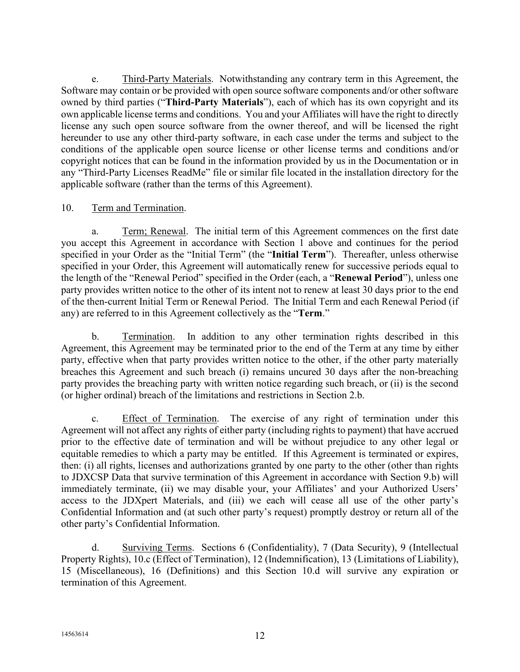e. Third-Party Materials. Notwithstanding any contrary term in this Agreement, the Software may contain or be provided with open source software components and/or other software owned by third parties ("**Third-Party Materials**"), each of which has its own copyright and its own applicable license terms and conditions. You and your Affiliates will have the right to directly license any such open source software from the owner thereof, and will be licensed the right hereunder to use any other third-party software, in each case under the terms and subject to the conditions of the applicable open source license or other license terms and conditions and/or copyright notices that can be found in the information provided by us in the Documentation or in any "Third-Party Licenses ReadMe" file or similar file located in the installation directory for the applicable software (rather than the terms of this Agreement).

### 10. Term and Termination.

a. Term; Renewal. The initial term of this Agreement commences on the first date you accept this Agreement in accordance with Section [1](#page-0-2) above and continues for the period specified in your Order as the "Initial Term" (the "**Initial Term**"). Thereafter, unless otherwise specified in your Order, this Agreement will automatically renew for successive periods equal to the length of the "Renewal Period" specified in the Order (each, a "**Renewal Period**"), unless one party provides written notice to the other of its intent not to renew at least 30 days prior to the end of the then-current Initial Term or Renewal Period. The Initial Term and each Renewal Period (if any) are referred to in this Agreement collectively as the "**Term**."

<span id="page-11-0"></span>b. Termination. In addition to any other termination rights described in this Agreement, this Agreement may be terminated prior to the end of the Term at any time by either party, effective when that party provides written notice to the other, if the other party materially breaches this Agreement and such breach (i) remains uncured 30 days after the non-breaching party provides the breaching party with written notice regarding such breach, or (ii) is the second (or higher ordinal) breach of the limitations and restrictions in Section [2.b.](#page-0-0)

<span id="page-11-1"></span>c. Effect of Termination. The exercise of any right of termination under this Agreement will not affect any rights of either party (including rights to payment) that have accrued prior to the effective date of termination and will be without prejudice to any other legal or equitable remedies to which a party may be entitled. If this Agreement is terminated or expires, then: (i) all rights, licenses and authorizations granted by one party to the other (other than rights to JDXCSP Data that survive termination of this Agreement in accordance with Section [9.b\)](#page-10-1) will immediately terminate, (ii) we may disable your, your Affiliates' and your Authorized Users' access to the JDXpert Materials, and (iii) we each will cease all use of the other party's Confidential Information and (at such other party's request) promptly destroy or return all of the other party's Confidential Information.

<span id="page-11-2"></span>d. Surviving Terms. Sections [6](#page-6-0) (Confidentiality), [7](#page-6-1) (Data Security), [9](#page-10-2) (Intellectual Property Rights), [10.c](#page-11-1) (Effect of Termination), [12](#page-13-0) (Indemnification), [13](#page-14-0) (Limitations of Liability), [15](#page-15-1) (Miscellaneous), [16](#page-17-0) (Definitions) and this Section [10.d](#page-11-2) will survive any expiration or termination of this Agreement.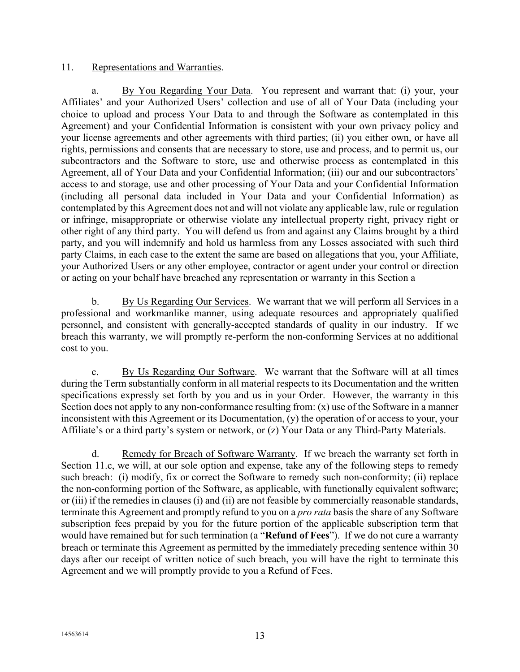#### <span id="page-12-3"></span>11. Representations and Warranties.

<span id="page-12-0"></span>a. By You Regarding Your Data. You represent and warrant that: (i) your, your Affiliates' and your Authorized Users' collection and use of all of Your Data (including your choice to upload and process Your Data to and through the Software as contemplated in this Agreement) and your Confidential Information is consistent with your own privacy policy and your license agreements and other agreements with third parties; (ii) you either own, or have all rights, permissions and consents that are necessary to store, use and process, and to permit us, our subcontractors and the Software to store, use and otherwise process as contemplated in this Agreement, all of Your Data and your Confidential Information; (iii) our and our subcontractors' access to and storage, use and other processing of Your Data and your Confidential Information (including all personal data included in Your Data and your Confidential Information) as contemplated by this Agreement does not and will not violate any applicable law, rule or regulation or infringe, misappropriate or otherwise violate any intellectual property right, privacy right or other right of any third party. You will defend us from and against any Claims brought by a third party, and you will indemnify and hold us harmless from any Losses associated with such third party Claims, in each case to the extent the same are based on allegations that you, your Affiliate, your Authorized Users or any other employee, contractor or agent under your control or direction or acting on your behalf have breached any representation or warranty in this Section [a](#page-12-0)

<span id="page-12-2"></span>b. By Us Regarding Our Services. We warrant that we will perform all Services in a professional and workmanlike manner, using adequate resources and appropriately qualified personnel, and consistent with generally-accepted standards of quality in our industry. If we breach this warranty, we will promptly re-perform the non-conforming Services at no additional cost to you.

<span id="page-12-1"></span>c. By Us Regarding Our Software. We warrant that the Software will at all times during the Term substantially conform in all material respects to its Documentation and the written specifications expressly set forth by you and us in your Order. However, the warranty in this Section does not apply to any non-conformance resulting from: (x) use of the Software in a manner inconsistent with this Agreement or its Documentation, (y) the operation of or access to your, your Affiliate's or a third party's system or network, or (z) Your Data or any Third-Party Materials.

d. Remedy for Breach of Software Warranty. If we breach the warranty set forth in Section [11.c,](#page-12-1) we will, at our sole option and expense, take any of the following steps to remedy such breach: (i) modify, fix or correct the Software to remedy such non-conformity; (ii) replace the non-conforming portion of the Software, as applicable, with functionally equivalent software; or (iii) if the remedies in clauses (i) and (ii) are not feasible by commercially reasonable standards, terminate this Agreement and promptly refund to you on a *pro rata* basis the share of any Software subscription fees prepaid by you for the future portion of the applicable subscription term that would have remained but for such termination (a "**Refund of Fees**"). If we do not cure a warranty breach or terminate this Agreement as permitted by the immediately preceding sentence within 30 days after our receipt of written notice of such breach, you will have the right to terminate this Agreement and we will promptly provide to you a Refund of Fees.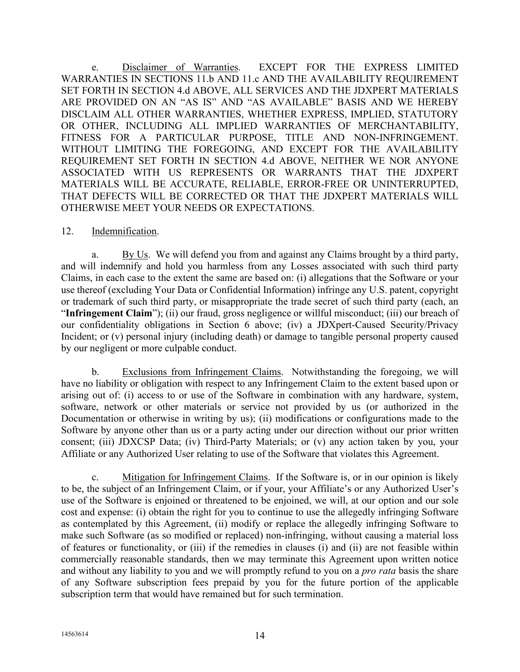e. Disclaimer of Warranties. EXCEPT FOR THE EXPRESS LIMITED WARRANTIES IN SECTIONS [11.b](#page-12-2) AND [11.c](#page-12-1) AND THE AVAILABILITY REQUIREMENT SET FORTH IN SECTION [4.d](#page-4-1) ABOVE, ALL SERVICES AND THE JDXPERT MATERIALS ARE PROVIDED ON AN "AS IS" AND "AS AVAILABLE" BASIS AND WE HEREBY DISCLAIM ALL OTHER WARRANTIES, WHETHER EXPRESS, IMPLIED, STATUTORY OR OTHER, INCLUDING ALL IMPLIED WARRANTIES OF MERCHANTABILITY, FITNESS FOR A PARTICULAR PURPOSE, TITLE AND NON-INFRINGEMENT. WITHOUT LIMITING THE FOREGOING, AND EXCEPT FOR THE AVAILABILITY REQUIREMENT SET FORTH IN SECTION [4.d](#page-4-1) ABOVE, NEITHER WE NOR ANYONE ASSOCIATED WITH US REPRESENTS OR WARRANTS THAT THE JDXPERT MATERIALS WILL BE ACCURATE, RELIABLE, ERROR-FREE OR UNINTERRUPTED, THAT DEFECTS WILL BE CORRECTED OR THAT THE JDXPERT MATERIALS WILL OTHERWISE MEET YOUR NEEDS OR EXPECTATIONS.

#### <span id="page-13-0"></span>12. Indemnification.

<span id="page-13-1"></span>a. By Us. We will defend you from and against any Claims brought by a third party, and will indemnify and hold you harmless from any Losses associated with such third party Claims, in each case to the extent the same are based on: (i) allegations that the Software or your use thereof (excluding Your Data or Confidential Information) infringe any U.S. patent, copyright or trademark of such third party, or misappropriate the trade secret of such third party (each, an "**Infringement Claim**"); (ii) our fraud, gross negligence or willful misconduct; (iii) our breach of our confidentiality obligations in Section [6](#page-6-0) above; (iv) a JDXpert-Caused Security/Privacy Incident; or (v) personal injury (including death) or damage to tangible personal property caused by our negligent or more culpable conduct.

b. Exclusions from Infringement Claims. Notwithstanding the foregoing, we will have no liability or obligation with respect to any Infringement Claim to the extent based upon or arising out of: (i) access to or use of the Software in combination with any hardware, system, software, network or other materials or service not provided by us (or authorized in the Documentation or otherwise in writing by us); (ii) modifications or configurations made to the Software by anyone other than us or a party acting under our direction without our prior written consent; (iii) JDXCSP Data; (iv) Third-Party Materials; or (v) any action taken by you, your Affiliate or any Authorized User relating to use of the Software that violates this Agreement.

c. Mitigation for Infringement Claims. If the Software is, or in our opinion is likely to be, the subject of an Infringement Claim, or if your, your Affiliate's or any Authorized User's use of the Software is enjoined or threatened to be enjoined, we will, at our option and our sole cost and expense: (i) obtain the right for you to continue to use the allegedly infringing Software as contemplated by this Agreement, (ii) modify or replace the allegedly infringing Software to make such Software (as so modified or replaced) non-infringing, without causing a material loss of features or functionality, or (iii) if the remedies in clauses (i) and (ii) are not feasible within commercially reasonable standards, then we may terminate this Agreement upon written notice and without any liability to you and we will promptly refund to you on a *pro rata* basis the share of any Software subscription fees prepaid by you for the future portion of the applicable subscription term that would have remained but for such termination.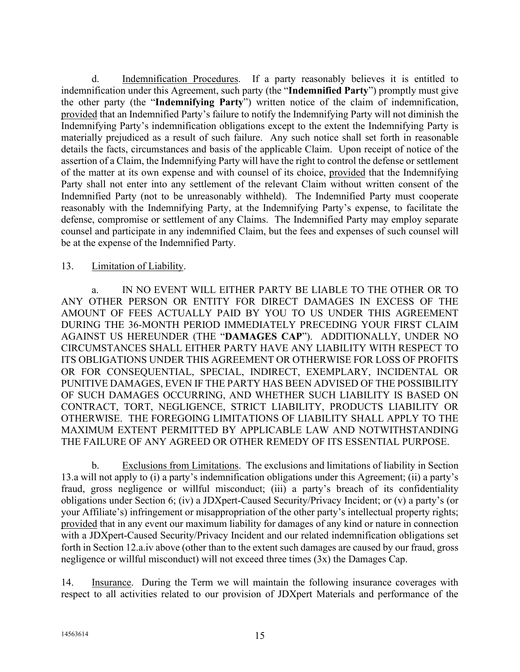d. Indemnification Procedures. If a party reasonably believes it is entitled to indemnification under this Agreement, such party (the "**Indemnified Party**") promptly must give the other party (the "**Indemnifying Party**") written notice of the claim of indemnification, provided that an Indemnified Party's failure to notify the Indemnifying Party will not diminish the Indemnifying Party's indemnification obligations except to the extent the Indemnifying Party is materially prejudiced as a result of such failure. Any such notice shall set forth in reasonable details the facts, circumstances and basis of the applicable Claim. Upon receipt of notice of the assertion of a Claim, the Indemnifying Party will have the right to control the defense or settlement of the matter at its own expense and with counsel of its choice, provided that the Indemnifying Party shall not enter into any settlement of the relevant Claim without written consent of the Indemnified Party (not to be unreasonably withheld). The Indemnified Party must cooperate reasonably with the Indemnifying Party, at the Indemnifying Party's expense, to facilitate the defense, compromise or settlement of any Claims. The Indemnified Party may employ separate counsel and participate in any indemnified Claim, but the fees and expenses of such counsel will be at the expense of the Indemnified Party.

### <span id="page-14-0"></span>13. Limitation of Liability.

<span id="page-14-1"></span>a. IN NO EVENT WILL EITHER PARTY BE LIABLE TO THE OTHER OR TO ANY OTHER PERSON OR ENTITY FOR DIRECT DAMAGES IN EXCESS OF THE AMOUNT OF FEES ACTUALLY PAID BY YOU TO US UNDER THIS AGREEMENT DURING THE 36-MONTH PERIOD IMMEDIATELY PRECEDING YOUR FIRST CLAIM AGAINST US HEREUNDER (THE "**DAMAGES CAP**"). ADDITIONALLY, UNDER NO CIRCUMSTANCES SHALL EITHER PARTY HAVE ANY LIABILITY WITH RESPECT TO ITS OBLIGATIONS UNDER THIS AGREEMENT OR OTHERWISE FOR LOSS OF PROFITS OR FOR CONSEQUENTIAL, SPECIAL, INDIRECT, EXEMPLARY, INCIDENTAL OR PUNITIVE DAMAGES, EVEN IF THE PARTY HAS BEEN ADVISED OF THE POSSIBILITY OF SUCH DAMAGES OCCURRING, AND WHETHER SUCH LIABILITY IS BASED ON CONTRACT, TORT, NEGLIGENCE, STRICT LIABILITY, PRODUCTS LIABILITY OR OTHERWISE. THE FOREGOING LIMITATIONS OF LIABILITY SHALL APPLY TO THE MAXIMUM EXTENT PERMITTED BY APPLICABLE LAW AND NOTWITHSTANDING THE FAILURE OF ANY AGREED OR OTHER REMEDY OF ITS ESSENTIAL PURPOSE.

b. Exclusions from Limitations. The exclusions and limitations of liability in Section [13.a](#page-14-1) will not apply to (i) a party's indemnification obligations under this Agreement; (ii) a party's fraud, gross negligence or willful misconduct; (iii) a party's breach of its confidentiality obligations under Section [6;](#page-6-0) (iv) a JDXpert-Caused Security/Privacy Incident; or (v) a party's (or your Affiliate's) infringement or misappropriation of the other party's intellectual property rights; provided that in any event our maximum liability for damages of any kind or nature in connection with a JDXpert-Caused Security/Privacy Incident and our related indemnification obligations set forth in Section [12.a.](#page-13-1)iv above (other than to the extent such damages are caused by our fraud, gross negligence or willful misconduct) will not exceed three times (3x) the Damages Cap.

14. Insurance. During the Term we will maintain the following insurance coverages with respect to all activities related to our provision of JDXpert Materials and performance of the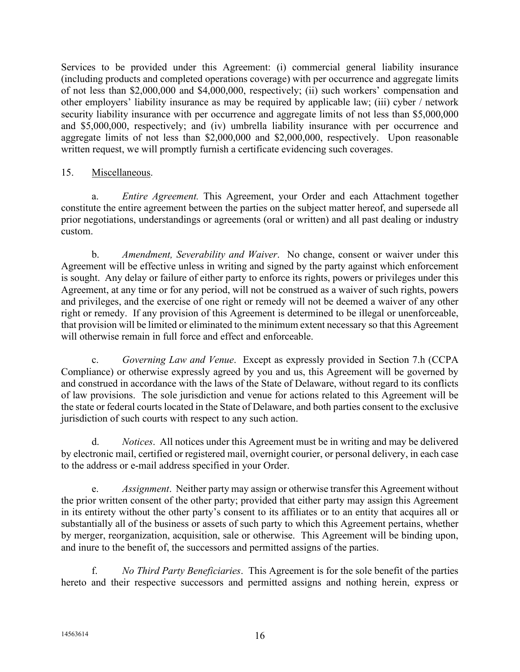Services to be provided under this Agreement: (i) commercial general liability insurance (including products and completed operations coverage) with per occurrence and aggregate limits of not less than \$2,000,000 and \$4,000,000, respectively; (ii) such workers' compensation and other employers' liability insurance as may be required by applicable law; (iii) cyber / network security liability insurance with per occurrence and aggregate limits of not less than \$5,000,000 and \$5,000,000, respectively; and (iv) umbrella liability insurance with per occurrence and aggregate limits of not less than \$2,000,000 and \$2,000,000, respectively. Upon reasonable written request, we will promptly furnish a certificate evidencing such coverages.

### <span id="page-15-1"></span>15. Miscellaneous.

a. *Entire Agreement.* This Agreement, your Order and each Attachment together constitute the entire agreement between the parties on the subject matter hereof, and supersede all prior negotiations, understandings or agreements (oral or written) and all past dealing or industry custom.

b. *Amendment, Severability and Waiver*. No change, consent or waiver under this Agreement will be effective unless in writing and signed by the party against which enforcement is sought. Any delay or failure of either party to enforce its rights, powers or privileges under this Agreement, at any time or for any period, will not be construed as a waiver of such rights, powers and privileges, and the exercise of one right or remedy will not be deemed a waiver of any other right or remedy. If any provision of this Agreement is determined to be illegal or unenforceable, that provision will be limited or eliminated to the minimum extent necessary so that this Agreement will otherwise remain in full force and effect and enforceable.

c. *Governing Law and Venue*. Except as expressly provided in Section [7.h](#page-8-0) (CCPA Compliance) or otherwise expressly agreed by you and us, this Agreement will be governed by and construed in accordance with the laws of the State of Delaware, without regard to its conflicts of law provisions. The sole jurisdiction and venue for actions related to this Agreement will be the state or federal courts located in the State of Delaware, and both parties consent to the exclusive jurisdiction of such courts with respect to any such action.

d. *Notices*. All notices under this Agreement must be in writing and may be delivered by electronic mail, certified or registered mail, overnight courier, or personal delivery, in each case to the address or e-mail address specified in your Order.

<span id="page-15-0"></span>e. *Assignment*. Neither party may assign or otherwise transfer this Agreement without the prior written consent of the other party; provided that either party may assign this Agreement in its entirety without the other party's consent to its affiliates or to an entity that acquires all or substantially all of the business or assets of such party to which this Agreement pertains, whether by merger, reorganization, acquisition, sale or otherwise. This Agreement will be binding upon, and inure to the benefit of, the successors and permitted assigns of the parties.

f. *No Third Party Beneficiaries*. This Agreement is for the sole benefit of the parties hereto and their respective successors and permitted assigns and nothing herein, express or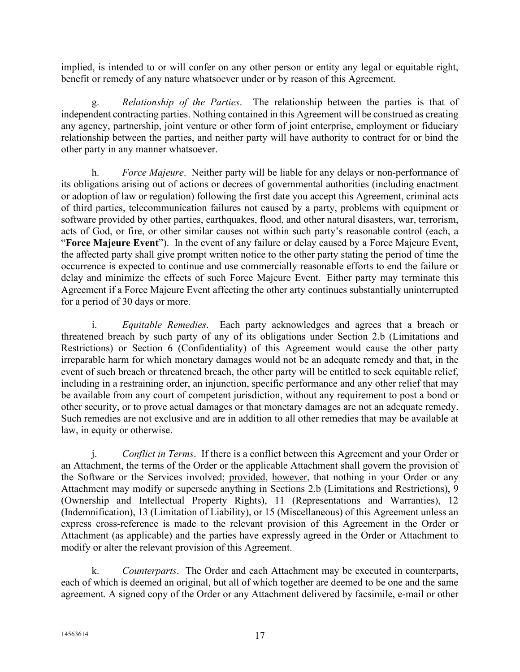implied, is intended to or will confer on any other person or entity any legal or equitable right, benefit or remedy of any nature whatsoever under or by reason of this Agreement.

g. *Relationship of the Parties*. The relationship between the parties is that of independent contracting parties. Nothing contained in this Agreement will be construed as creating any agency, partnership, joint venture or other form of joint enterprise, employment or fiduciary relationship between the parties, and neither party will have authority to contract for or bind the other party in any manner whatsoever.

h. *Force Majeure*. Neither party will be liable for any delays or non-performance of its obligations arising out of actions or decrees of governmental authorities (including enactment or adoption of law or regulation) following the first date you accept this Agreement, criminal acts of third parties, telecommunication failures not caused by a party, problems with equipment or software provided by other parties, earthquakes, flood, and other natural disasters, war, terrorism, acts of God, or fire, or other similar causes not within such party's reasonable control (each, a "**Force Majeure Event**"). In the event of any failure or delay caused by a Force Majeure Event, the affected party shall give prompt written notice to the other party stating the period of time the occurrence is expected to continue and use commercially reasonable efforts to end the failure or delay and minimize the effects of such Force Majeure Event. Either party may terminate this Agreement if a Force Majeure Event affecting the other arty continues substantially uninterrupted for a period of 30 days or more.

i. *Equitable Remedies*. Each party acknowledges and agrees that a breach or threatened breach by such party of any of its obligations under Section [2.b](#page-0-0) (Limitations and Restrictions) or Section [6](#page-6-0) (Confidentiality) of this Agreement would cause the other party irreparable harm for which monetary damages would not be an adequate remedy and that, in the event of such breach or threatened breach, the other party will be entitled to seek equitable relief, including in a restraining order, an injunction, specific performance and any other relief that may be available from any court of competent jurisdiction, without any requirement to post a bond or other security, or to prove actual damages or that monetary damages are not an adequate remedy. Such remedies are not exclusive and are in addition to all other remedies that may be available at law, in equity or otherwise.

j. *Conflict in Terms*. If there is a conflict between this Agreement and your Order or an Attachment, the terms of the Order or the applicable Attachment shall govern the provision of the Software or the Services involved; provided, however, that nothing in your Order or any Attachment may modify or supersede anything in Sections [2.b](#page-0-0) (Limitations and Restrictions), [9](#page-10-2) (Ownership and Intellectual Property Rights), [11](#page-12-3) (Representations and Warranties), [12](#page-13-0) (Indemnification), [13](#page-14-0) (Limitation of Liability), or [15](#page-15-1) (Miscellaneous) of this Agreement unless an express cross-reference is made to the relevant provision of this Agreement in the Order or Attachment (as applicable) and the parties have expressly agreed in the Order or Attachment to modify or alter the relevant provision of this Agreement.

k. *Counterparts*. The Order and each Attachment may be executed in counterparts, each of which is deemed an original, but all of which together are deemed to be one and the same agreement. A signed copy of the Order or any Attachment delivered by facsimile, e-mail or other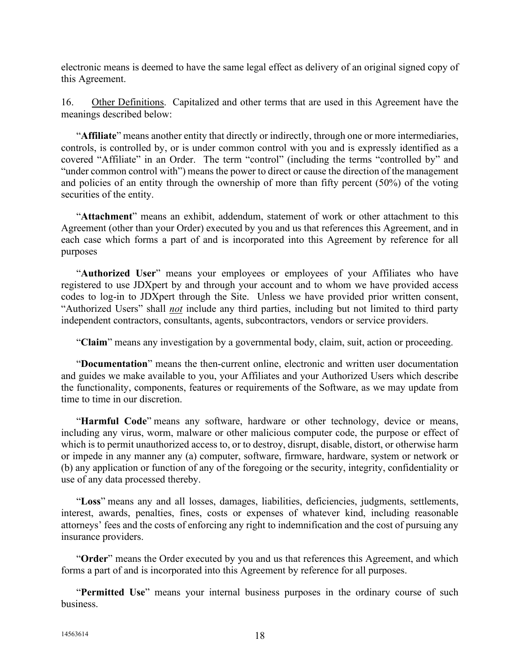electronic means is deemed to have the same legal effect as delivery of an original signed copy of this Agreement.

<span id="page-17-0"></span>16. Other Definitions. Capitalized and other terms that are used in this Agreement have the meanings described below:

"**Affiliate**" means another entity that directly or indirectly, through one or more intermediaries, controls, is controlled by, or is under common control with you and is expressly identified as a covered "Affiliate" in an Order. The term "control" (including the terms "controlled by" and "under common control with") means the power to direct or cause the direction of the management and policies of an entity through the ownership of more than fifty percent (50%) of the voting securities of the entity.

"**Attachment**" means an exhibit, addendum, statement of work or other attachment to this Agreement (other than your Order) executed by you and us that references this Agreement, and in each case which forms a part of and is incorporated into this Agreement by reference for all purposes

"**Authorized User**" means your employees or employees of your Affiliates who have registered to use JDXpert by and through your account and to whom we have provided access codes to log-in to JDXpert through the Site. Unless we have provided prior written consent, "Authorized Users" shall *not* include any third parties, including but not limited to third party independent contractors, consultants, agents, subcontractors, vendors or service providers.

"**Claim**" means any investigation by a governmental body, claim, suit, action or proceeding.

"**Documentation**" means the then-current online, electronic and written user documentation and guides we make available to you, your Affiliates and your Authorized Users which describe the functionality, components, features or requirements of the Software, as we may update from time to time in our discretion.

"**Harmful Code**" means any software, hardware or other technology, device or means, including any virus, worm, malware or other malicious computer code, the purpose or effect of which is to permit unauthorized access to, or to destroy, disrupt, disable, distort, or otherwise harm or impede in any manner any (a) computer, software, firmware, hardware, system or network or (b) any application or function of any of the foregoing or the security, integrity, confidentiality or use of any data processed thereby.

"**Loss**" means any and all losses, damages, liabilities, deficiencies, judgments, settlements, interest, awards, penalties, fines, costs or expenses of whatever kind, including reasonable attorneys' fees and the costs of enforcing any right to indemnification and the cost of pursuing any insurance providers.

"**Order**" means the Order executed by you and us that references this Agreement, and which forms a part of and is incorporated into this Agreement by reference for all purposes.

"**Permitted Use**" means your internal business purposes in the ordinary course of such business.